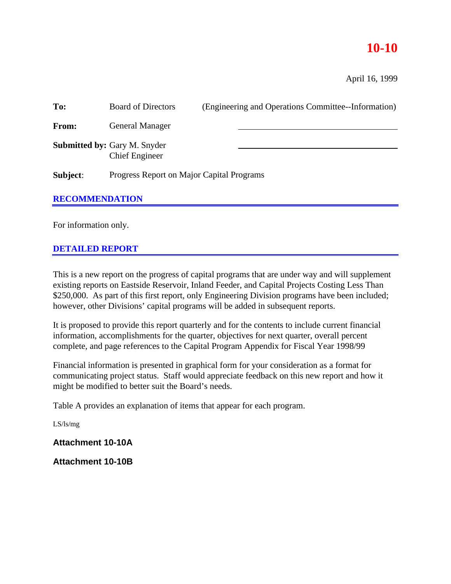# **10-10**

April 16, 1999

| To:                   | <b>Board of Directors</b>                                    | (Engineering and Operations Committee--Information) |  |
|-----------------------|--------------------------------------------------------------|-----------------------------------------------------|--|
| From:                 | <b>General Manager</b>                                       |                                                     |  |
|                       | <b>Submitted by: Gary M. Snyder</b><br><b>Chief Engineer</b> |                                                     |  |
| Subject:              | Progress Report on Major Capital Programs                    |                                                     |  |
| <b>RECOMMENDATION</b> |                                                              |                                                     |  |
|                       |                                                              |                                                     |  |

For information only.

# **DETAILED REPORT**

This is a new report on the progress of capital programs that are under way and will supplement existing reports on Eastside Reservoir, Inland Feeder, and Capital Projects Costing Less Than \$250,000. As part of this first report, only Engineering Division programs have been included; however, other Divisions' capital programs will be added in subsequent reports.

It is proposed to provide this report quarterly and for the contents to include current financial information, accomplishments for the quarter, objectives for next quarter, overall percent complete, and page references to the Capital Program Appendix for Fiscal Year 1998/99

Financial information is presented in graphical form for your consideration as a format for communicating project status. Staff would appreciate feedback on this new report and how it might be modified to better suit the Board's needs.

Table A provides an explanation of items that appear for each program.

LS/ls/mg

**Attachment 10-10A**

**Attachment 10-10B**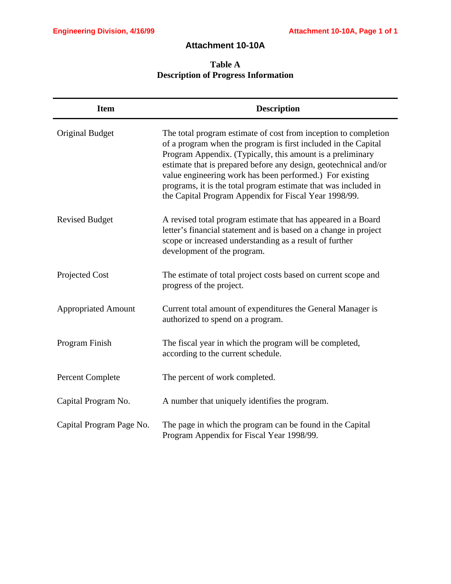# **Attachment 10-10A**

# **Table A Description of Progress Information**

| <b>Item</b>                | <b>Description</b>                                                                                                                                                                                                                                                                                                                                                                                                                                          |
|----------------------------|-------------------------------------------------------------------------------------------------------------------------------------------------------------------------------------------------------------------------------------------------------------------------------------------------------------------------------------------------------------------------------------------------------------------------------------------------------------|
| <b>Original Budget</b>     | The total program estimate of cost from inception to completion<br>of a program when the program is first included in the Capital<br>Program Appendix. (Typically, this amount is a preliminary<br>estimate that is prepared before any design, geotechnical and/or<br>value engineering work has been performed.) For existing<br>programs, it is the total program estimate that was included in<br>the Capital Program Appendix for Fiscal Year 1998/99. |
| <b>Revised Budget</b>      | A revised total program estimate that has appeared in a Board<br>letter's financial statement and is based on a change in project<br>scope or increased understanding as a result of further<br>development of the program.                                                                                                                                                                                                                                 |
| Projected Cost             | The estimate of total project costs based on current scope and<br>progress of the project.                                                                                                                                                                                                                                                                                                                                                                  |
| <b>Appropriated Amount</b> | Current total amount of expenditures the General Manager is<br>authorized to spend on a program.                                                                                                                                                                                                                                                                                                                                                            |
| Program Finish             | The fiscal year in which the program will be completed,<br>according to the current schedule.                                                                                                                                                                                                                                                                                                                                                               |
| <b>Percent Complete</b>    | The percent of work completed.                                                                                                                                                                                                                                                                                                                                                                                                                              |
| Capital Program No.        | A number that uniquely identifies the program.                                                                                                                                                                                                                                                                                                                                                                                                              |
| Capital Program Page No.   | The page in which the program can be found in the Capital<br>Program Appendix for Fiscal Year 1998/99.                                                                                                                                                                                                                                                                                                                                                      |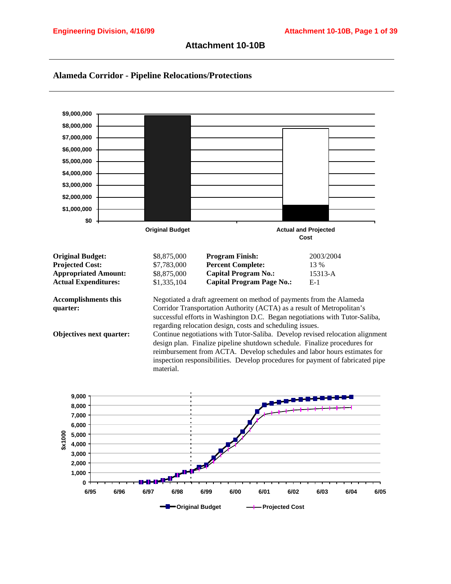



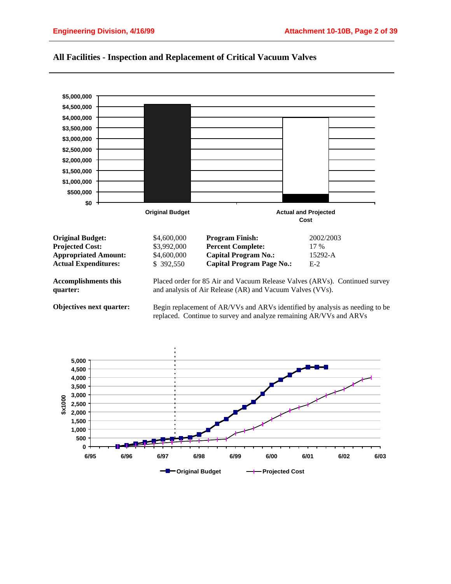

#### **All Facilities - Inspection and Replacement of Critical Vacuum Valves**

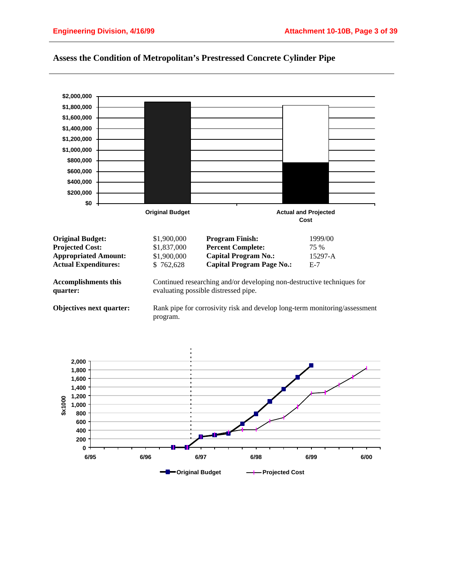

## **Assess the Condition of Metropolitan's Prestressed Concrete Cylinder Pipe**

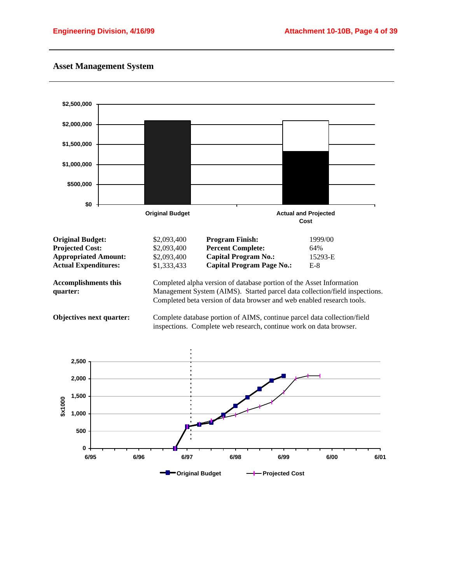### **Asset Management System**

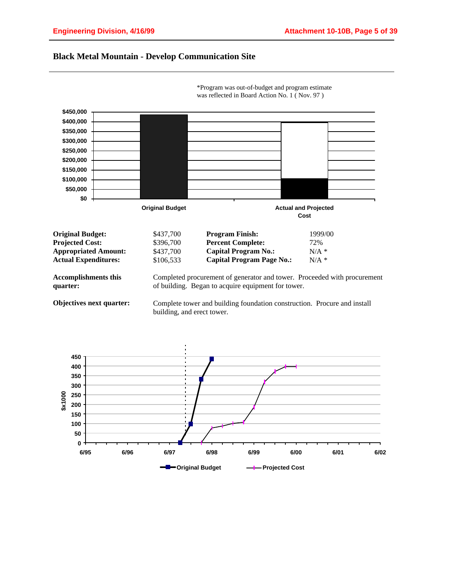#### **Black Metal Mountain - Develop Communication Site**



\*Program was out-of-budget and program estimate was reflected in Board Action No. 1 ( Nov. 97 )

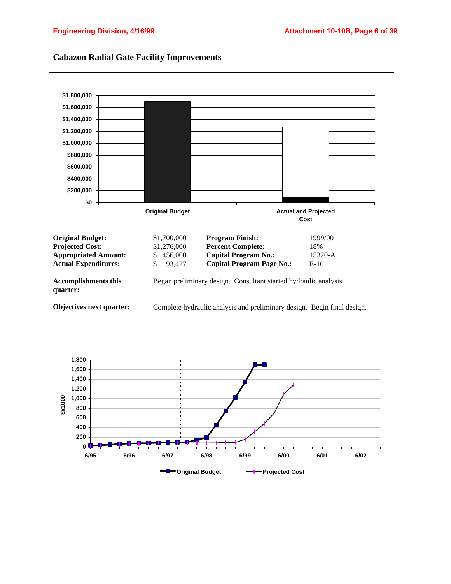

## **Cabazon Radial Gate Facility Improvements**

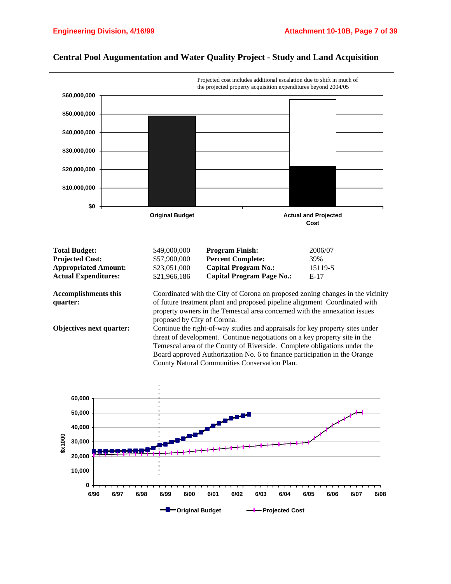

## **Central Pool Augumentation and Water Quality Project - Study and Land Acquisition**

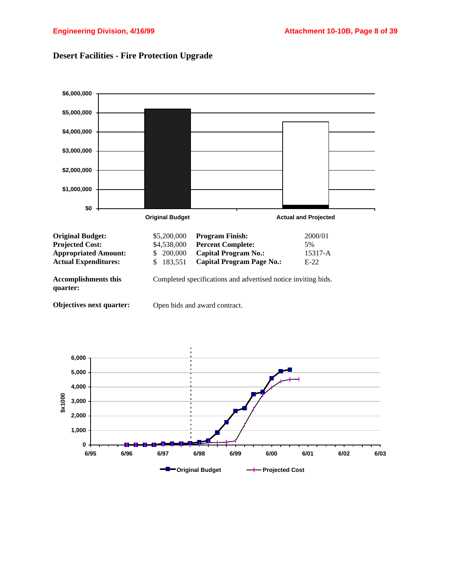

# **Desert Facilities - Fire Protection Upgrade**

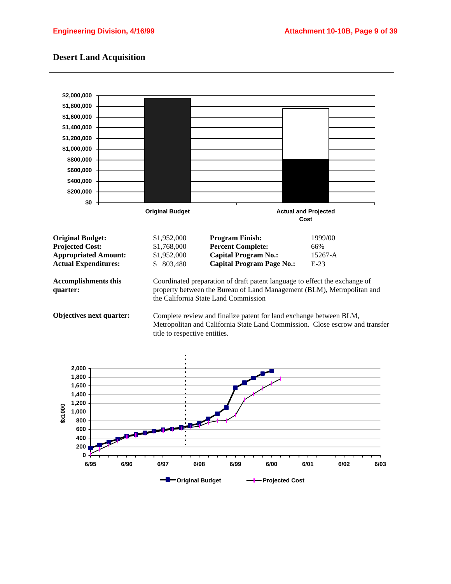## **Desert Land Acquisition**

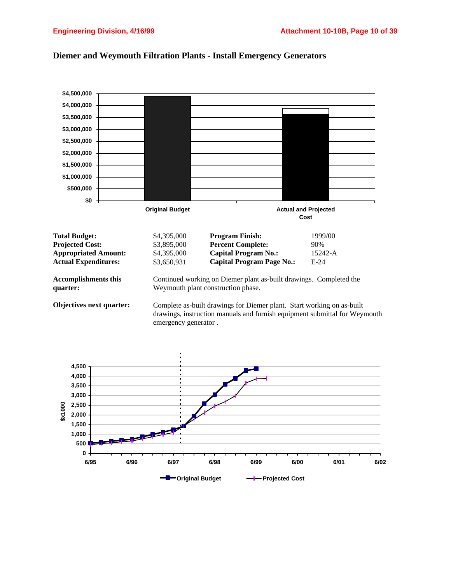

#### **Diemer and Weymouth Filtration Plants - Install Emergency Generators**

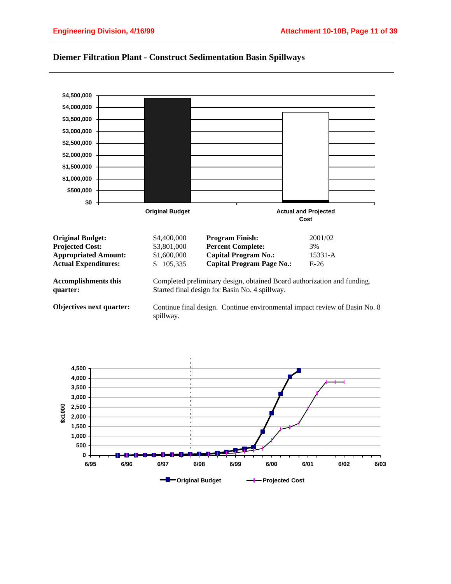

#### **Diemer Filtration Plant - Construct Sedimentation Basin Spillways**

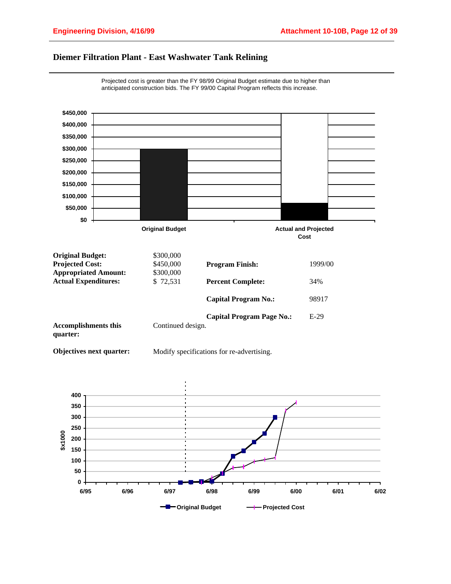## **Diemer Filtration Plant - East Washwater Tank Relining**



Projected cost is greater than the FY 98/99 Original Budget estimate due to higher than anticipated construction bids. The FY 99/00 Capital Program reflects this increase.

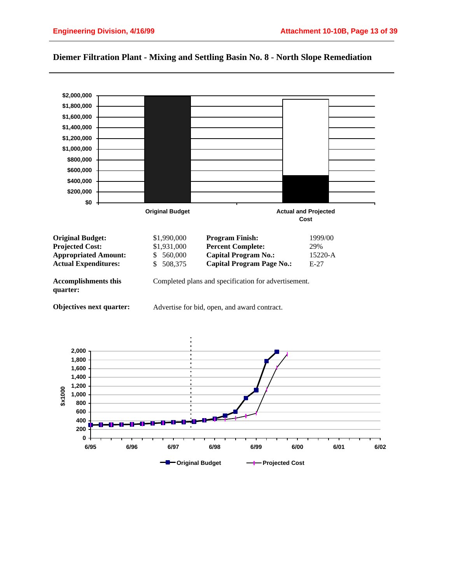

#### **Diemer Filtration Plant - Mixing and Settling Basin No. 8 - North Slope Remediation**

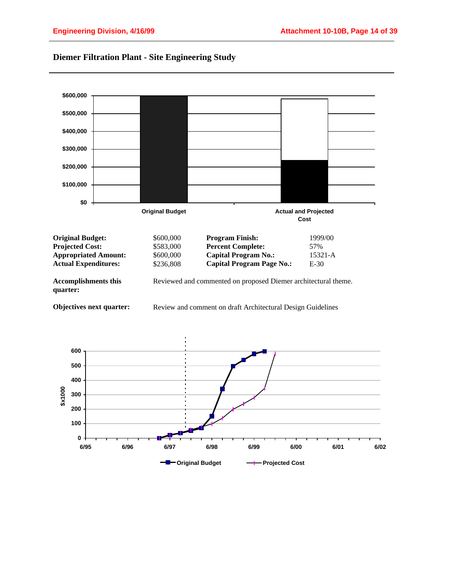

## **Diemer Filtration Plant - Site Engineering Study**

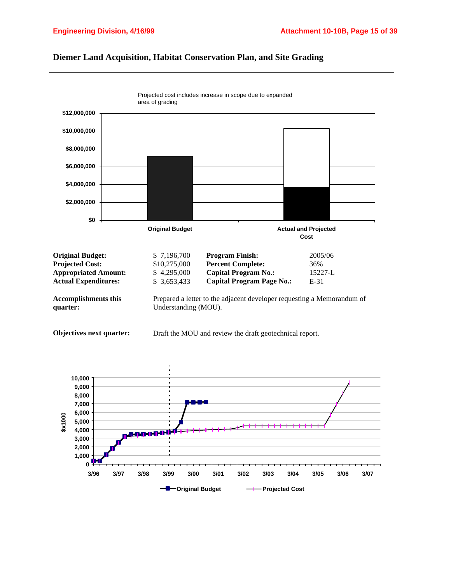

#### **Diemer Land Acquisition, Habitat Conservation Plan, and Site Grading**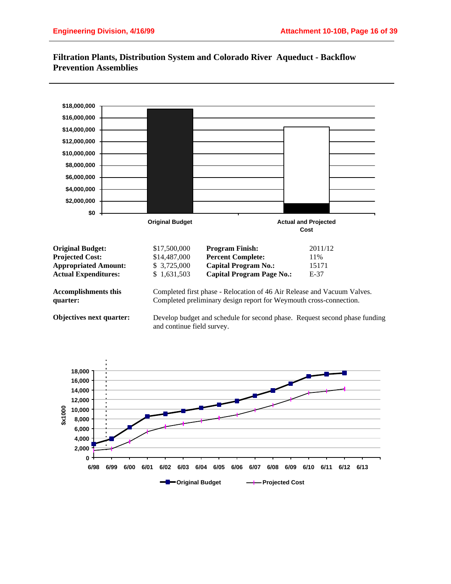

## **Filtration Plants, Distribution System and Colorado River Aqueduct - Backflow Prevention Assemblies**

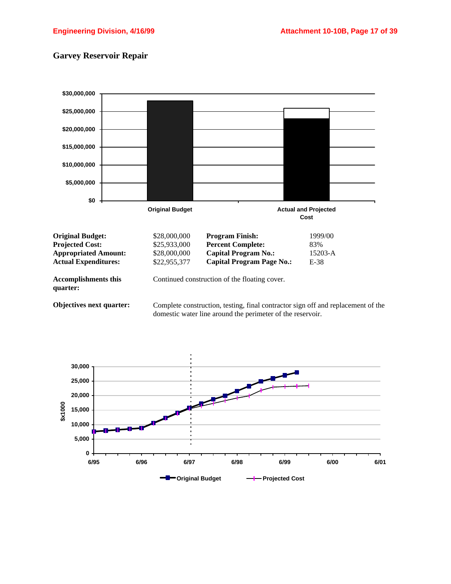# **Garvey Reservoir Repair**



domestic water line around the perimeter of the reservoir.

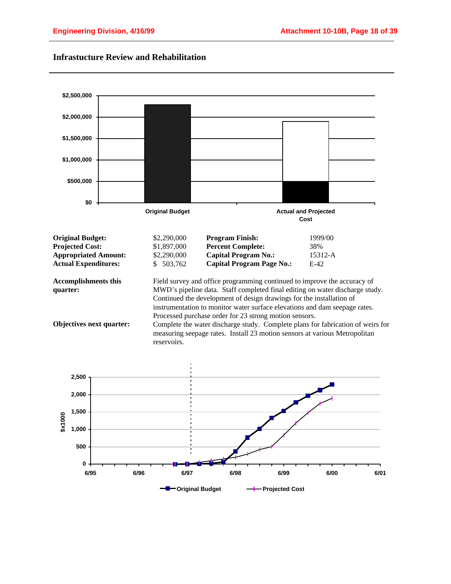

## **Infrastucture Review and Rehabilitation**

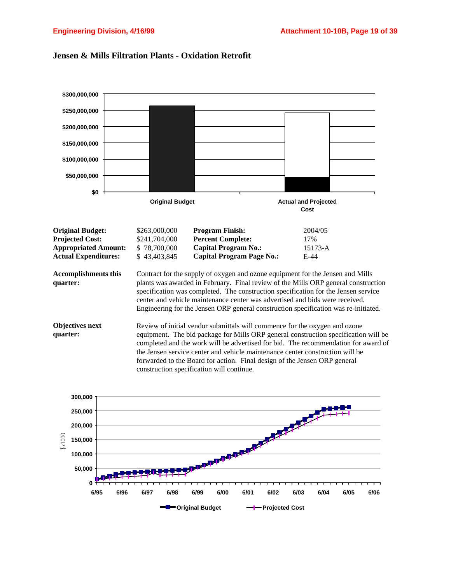

### **Jensen & Mills Filtration Plants - Oxidation Retrofit**

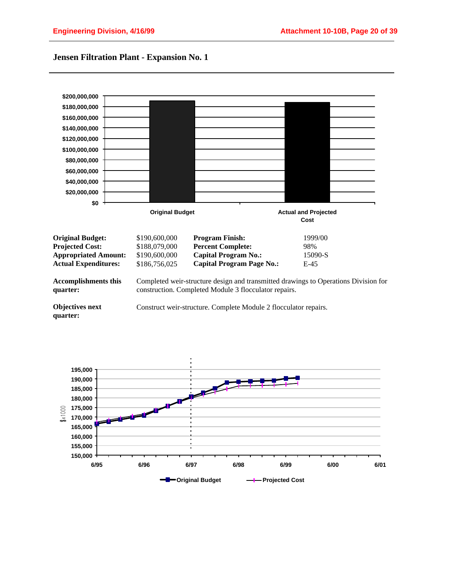## **Jensen Filtration Plant - Expansion No. 1**



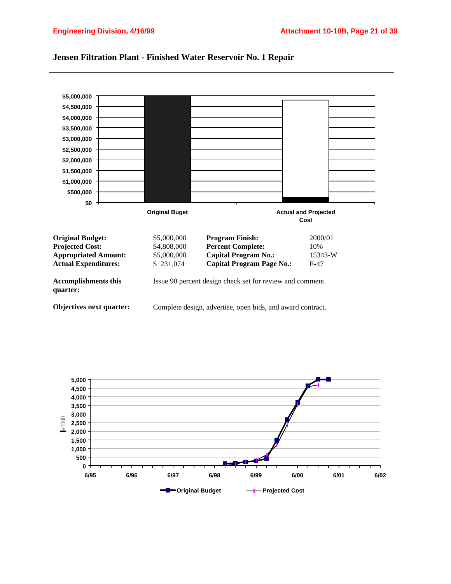

#### **Jensen Filtration Plant - Finished Water Reservoir No. 1 Repair**

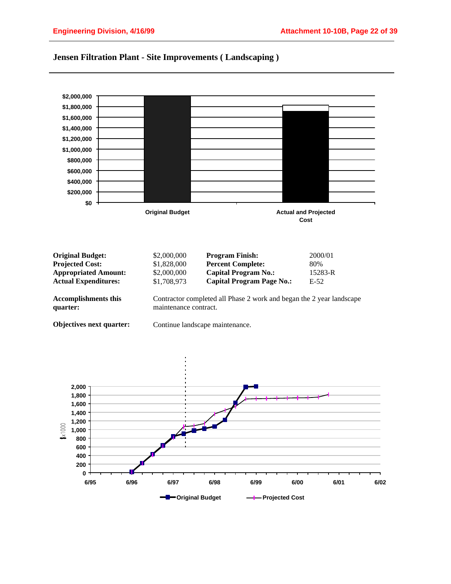

#### **Jensen Filtration Plant - Site Improvements ( Landscaping )**

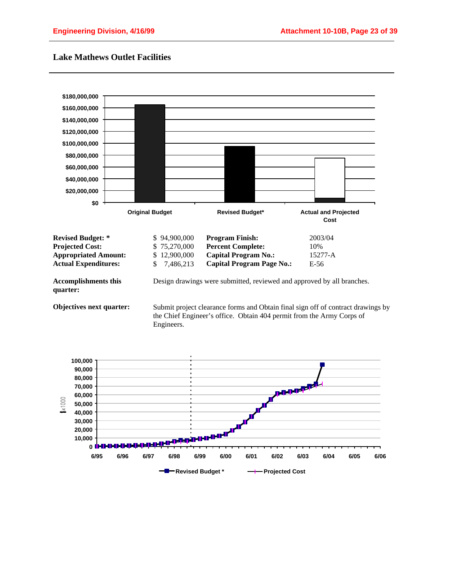## **Lake Mathews Outlet Facilities**



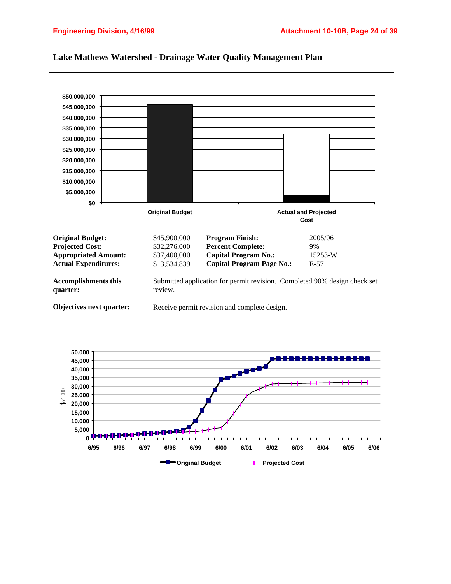

#### **Lake Mathews Watershed - Drainage Water Quality Management Plan**

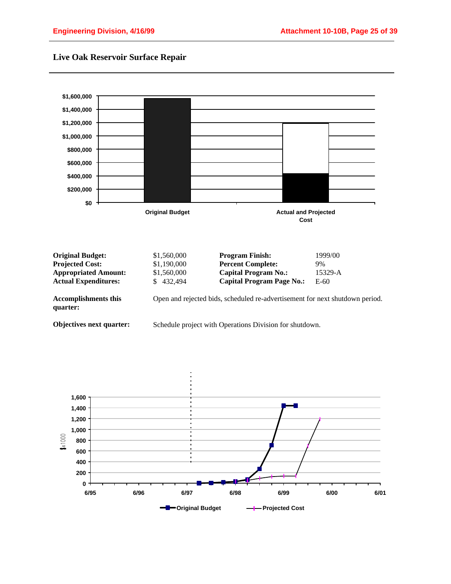



**Objectives next quarter:**

Schedule project with Operations Division for shutdown.

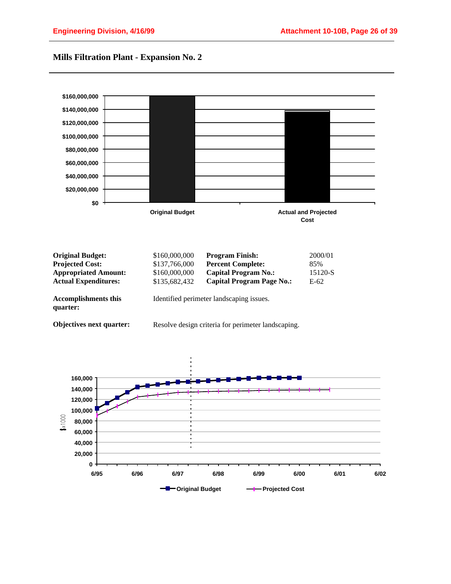## **Mills Filtration Plant - Expansion No. 2**

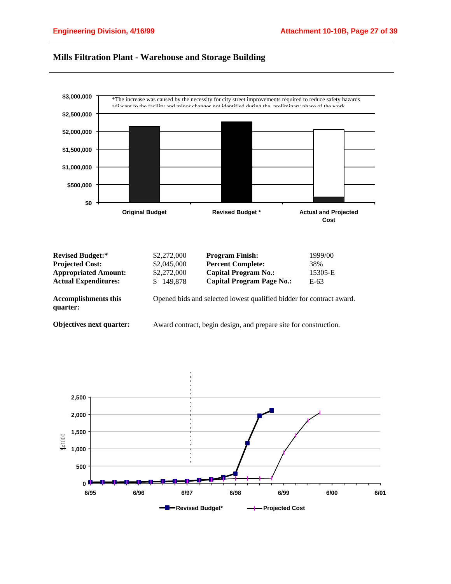

## **Mills Filtration Plant - Warehouse and Storage Building**

| <b>Revised Budget:*</b>                 | \$2,272,000 | <b>Program Finish:</b>                                               | 1999/00 |
|-----------------------------------------|-------------|----------------------------------------------------------------------|---------|
| <b>Projected Cost:</b>                  | \$2,045,000 | <b>Percent Complete:</b>                                             | 38%     |
| <b>Appropriated Amount:</b>             | \$2,272,000 | <b>Capital Program No.:</b>                                          | 15305-E |
| <b>Actual Expenditures:</b>             | \$149,878   | <b>Capital Program Page No.:</b>                                     | E-63    |
| <b>Accomplishments this</b><br>quarter: |             | Opened bids and selected lowest qualified bidder for contract award. |         |
| Objectives next quarter:                |             | Award contract, begin design, and prepare site for construction.     |         |

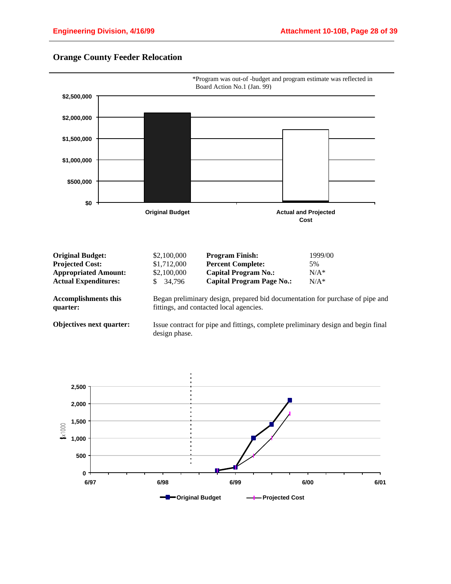

## **Orange County Feeder Relocation**

| <b>Original Budget:</b>     | \$2,100,000 | <b>Program Finish:</b>      | 1999/00 |
|-----------------------------|-------------|-----------------------------|---------|
| <b>Projected Cost:</b>      | \$1,712,000 | <b>Percent Complete:</b>    | 5%      |
| <b>Appropriated Amount:</b> | \$2,100,000 | <b>Capital Program No.:</b> | $N/A^*$ |
| <b>Actual Expenditures:</b> | \$ 34.796   | Capital Program Page No.:   | $N/A^*$ |
|                             |             |                             |         |

**Accomplishments this quarter:**

Began preliminary design, prepared bid documentation for purchase of pipe and fittings, and contacted local agencies.

**Objectives next quarter:**

Issue contract for pipe and fittings, complete preliminary design and begin final design phase.

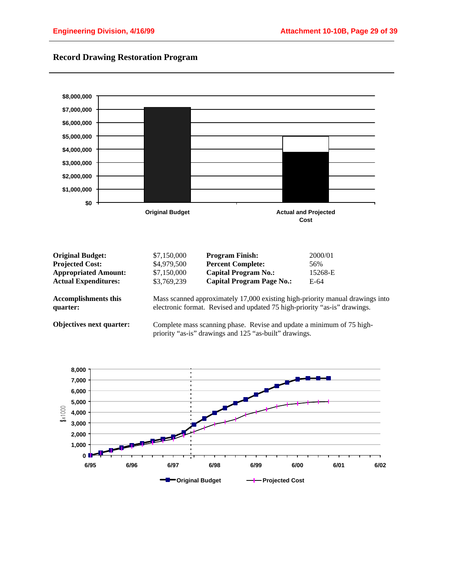

# **Record Drawing Restoration Program**

| <b>Original Budget:</b>                 | \$7,150,000 | <b>Program Finish:</b>                                                                                                                                     | 2000/01 |
|-----------------------------------------|-------------|------------------------------------------------------------------------------------------------------------------------------------------------------------|---------|
| <b>Projected Cost:</b>                  | \$4,979,500 | <b>Percent Complete:</b>                                                                                                                                   | 56%     |
| <b>Appropriated Amount:</b>             | \$7,150,000 | <b>Capital Program No.:</b>                                                                                                                                | 15268-E |
| <b>Actual Expenditures:</b>             | \$3,769,239 | <b>Capital Program Page No.:</b>                                                                                                                           | E-64    |
| <b>Accomplishments this</b><br>quarter: |             | Mass scanned approximately 17,000 existing high-priority manual drawings into<br>electronic format. Revised and updated 75 high-priority "as-is" drawings. |         |
| Objectives next quarter:                |             | Complete mass scanning phase. Revise and update a minimum of 75 high-<br>priority "as-is" drawings and 125 "as-built" drawings.                            |         |

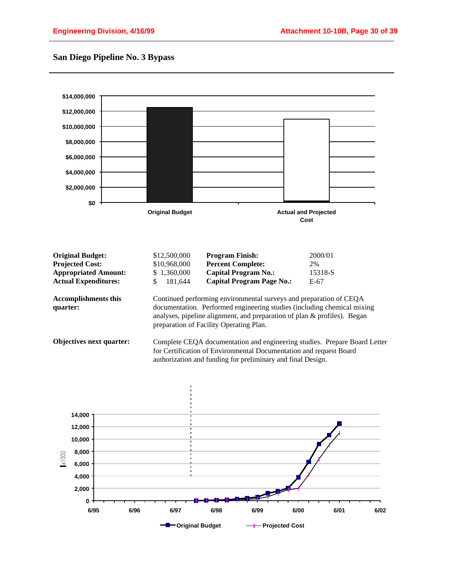## **San Diego Pipeline No. 3 Bypass**



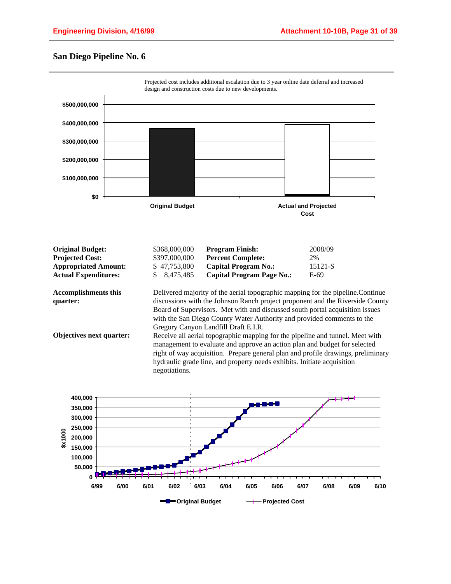## **San Diego Pipeline No. 6**



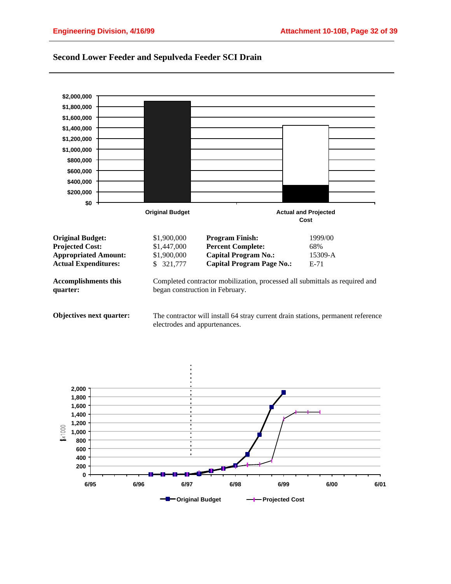

#### **Second Lower Feeder and Sepulveda Feeder SCI Drain**

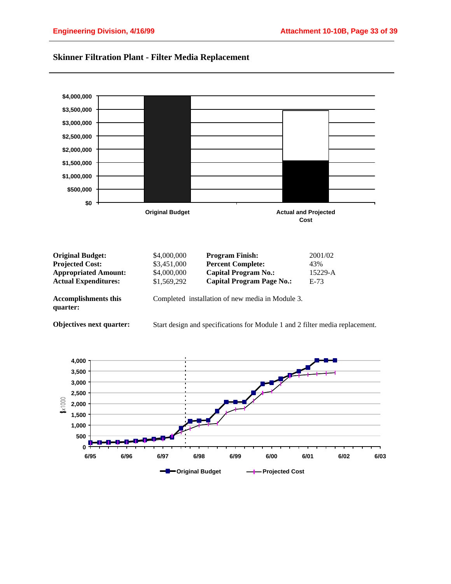

## **Skinner Filtration Plant - Filter Media Replacement**

| <b>Original Budget:</b>                 | \$4,000,000                                      | <b>Program Finish:</b>           | 2001/02 |
|-----------------------------------------|--------------------------------------------------|----------------------------------|---------|
| <b>Projected Cost:</b>                  | \$3,451,000                                      | <b>Percent Complete:</b>         | 43%     |
| <b>Appropriated Amount:</b>             | \$4,000,000                                      | <b>Capital Program No.:</b>      | 15229-A |
| <b>Actual Expenditures:</b>             | \$1,569,292                                      | <b>Capital Program Page No.:</b> | $E-73$  |
| <b>Accomplishments this</b><br>quarter: | Completed installation of new media in Module 3. |                                  |         |
|                                         |                                                  |                                  |         |



Start design and specifications for Module 1 and 2 filter media replacement.

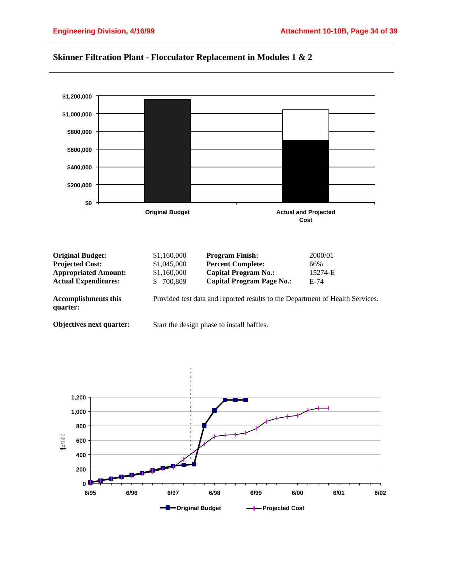

# **Skinner Filtration Plant - Flocculator Replacement in Modules 1 & 2**

| <b>Original Budget:</b>                 | \$1,160,000 | <b>Program Finish:</b>                                                        | 2000/01 |
|-----------------------------------------|-------------|-------------------------------------------------------------------------------|---------|
| <b>Projected Cost:</b>                  | \$1,045,000 | <b>Percent Complete:</b>                                                      | 66%     |
| <b>Appropriated Amount:</b>             | \$1,160,000 | Capital Program No.:                                                          | 15274-E |
| <b>Actual Expenditures:</b>             | \$700,809   | <b>Capital Program Page No.:</b>                                              | $E-74$  |
| <b>Accomplishments this</b><br>quarter: |             | Provided test data and reported results to the Department of Health Services. |         |
| Objectives next quarter:                |             | Start the design phase to install baffles.                                    |         |

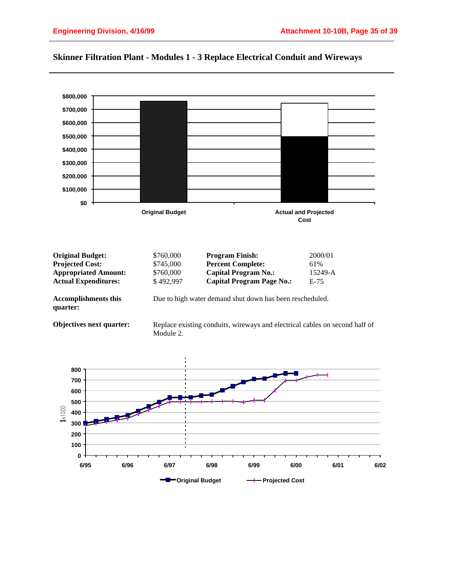

## **Skinner Filtration Plant - Modules 1 - 3 Replace Electrical Conduit and Wireways**

| <b>Original Budget:</b>                 | \$760,000                                                | <b>Program Finish:</b>           | 2000/01 |
|-----------------------------------------|----------------------------------------------------------|----------------------------------|---------|
| <b>Projected Cost:</b>                  | \$745,000                                                | <b>Percent Complete:</b>         | 61%     |
| <b>Appropriated Amount:</b>             | \$760,000                                                | <b>Capital Program No.:</b>      | 15249-A |
| <b>Actual Expenditures:</b>             | \$492,997                                                | <b>Capital Program Page No.:</b> | $E-75$  |
| <b>Accomplishments this</b><br>quarter: | Due to high water demand shut down has been rescheduled. |                                  |         |

**Objectives next quarter:**

Replace existing conduits, wireways and electrical cables on second half of Module 2.

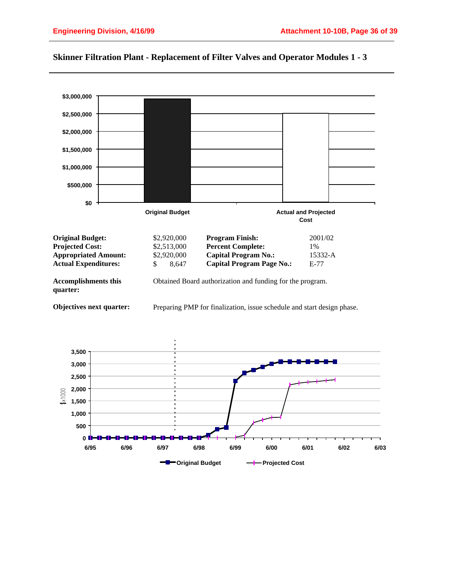

#### **Skinner Filtration Plant - Replacement of Filter Valves and Operator Modules 1 - 3**

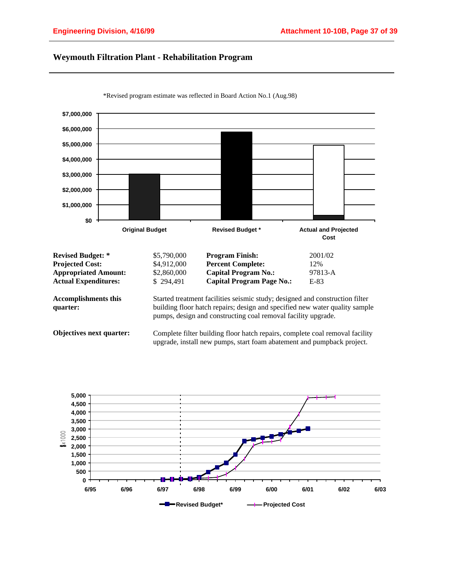## **Weymouth Filtration Plant - Rehabilitation Program**



\*Revised program estimate was reflected in Board Action No.1 (Aug.98)

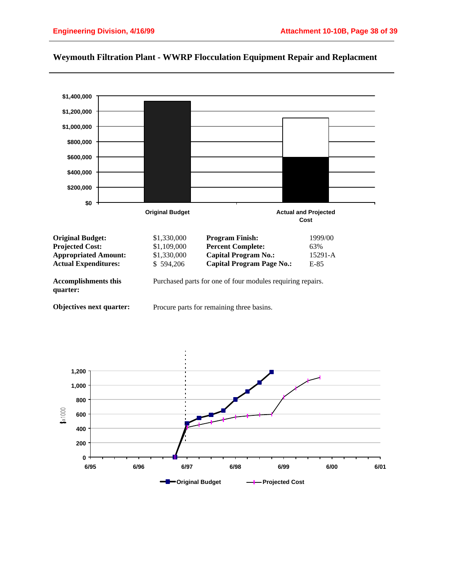

## **Weymouth Filtration Plant - WWRP Flocculation Equipment Repair and Replacment**